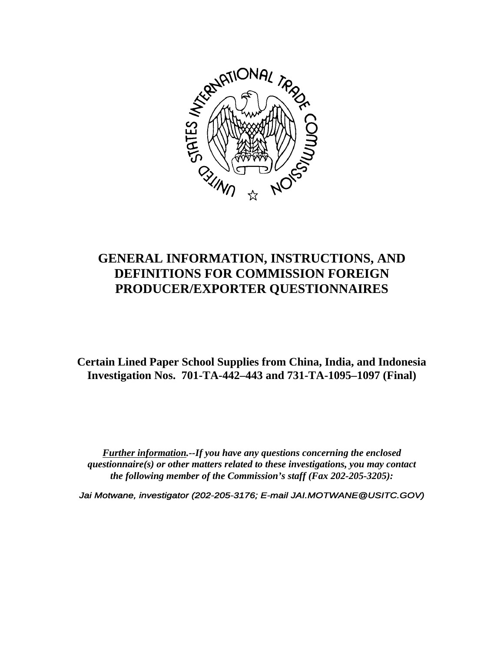

# **GENERAL INFORMATION, INSTRUCTIONS, AND DEFINITIONS FOR COMMISSION FOREIGN PRODUCER/EXPORTER QUESTIONNAIRES**

**Certain Lined Paper School Supplies from China, India, and Indonesia Investigation Nos. 701-TA-442–443 and 731-TA-1095–1097 (Final)**

*Further information.--If you have any questions concerning the enclosed questionnaire(s) or other matters related to these investigations, you may contact the following member of the Commission's staff (Fax 202-205-3205):*

*Jai Motwane, investigator (202-205-3176; E-mail JAI.MOTWANE@USITC.GOV)*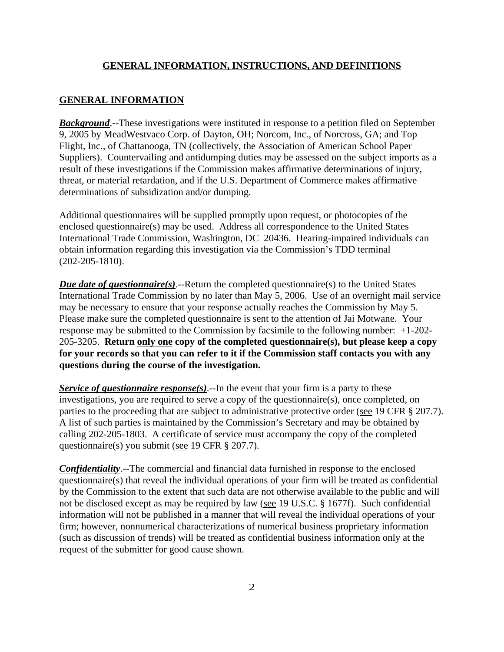#### **GENERAL INFORMATION**

*Background*.--These investigations were instituted in response to a petition filed on September 9, 2005 by MeadWestvaco Corp. of Dayton, OH; Norcom, Inc., of Norcross, GA; and Top Flight, Inc., of Chattanooga, TN (collectively, the Association of American School Paper Suppliers). Countervailing and antidumping duties may be assessed on the subject imports as a result of these investigations if the Commission makes affirmative determinations of injury, threat, or material retardation, and if the U.S. Department of Commerce makes affirmative determinations of subsidization and/or dumping.

Additional questionnaires will be supplied promptly upon request, or photocopies of the enclosed questionnaire(s) may be used. Address all correspondence to the United States International Trade Commission, Washington, DC 20436. Hearing-impaired individuals can obtain information regarding this investigation via the Commission's TDD terminal (202-205-1810).

*Due date of questionnaire(s)*.--Return the completed questionnaire(s) to the United States International Trade Commission by no later than May 5, 2006. Use of an overnight mail service may be necessary to ensure that your response actually reaches the Commission by May 5. Please make sure the completed questionnaire is sent to the attention of Jai Motwane. Your response may be submitted to the Commission by facsimile to the following number: +1-202- 205-3205. **Return only one copy of the completed questionnaire(s), but please keep a copy for your records so that you can refer to it if the Commission staff contacts you with any questions during the course of the investigation.**

*Service of questionnaire response(s).*--In the event that your firm is a party to these investigations, you are required to serve a copy of the questionnaire(s), once completed, on parties to the proceeding that are subject to administrative protective order (see 19 CFR § 207.7). A list of such parties is maintained by the Commission's Secretary and may be obtained by calling 202-205-1803. A certificate of service must accompany the copy of the completed questionnaire(s) you submit (see 19 CFR § 207.7).

*Confidentiality*.--The commercial and financial data furnished in response to the enclosed questionnaire(s) that reveal the individual operations of your firm will be treated as confidential by the Commission to the extent that such data are not otherwise available to the public and will not be disclosed except as may be required by law (see 19 U.S.C. § 1677f). Such confidential information will not be published in a manner that will reveal the individual operations of your firm; however, nonnumerical characterizations of numerical business proprietary information (such as discussion of trends) will be treated as confidential business information only at the request of the submitter for good cause shown.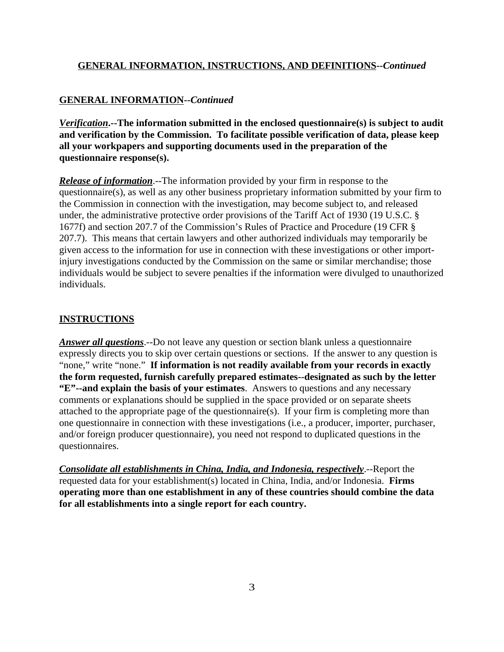## **GENERAL INFORMATION--***Continued*

*Verification***.--The information submitted in the enclosed questionnaire(s) is subject to audit and verification by the Commission. To facilitate possible verification of data, please keep all your workpapers and supporting documents used in the preparation of the questionnaire response(s).**

*Release of information*.--The information provided by your firm in response to the questionnaire(s), as well as any other business proprietary information submitted by your firm to the Commission in connection with the investigation, may become subject to, and released under, the administrative protective order provisions of the Tariff Act of 1930 (19 U.S.C. § 1677f) and section 207.7 of the Commission's Rules of Practice and Procedure (19 CFR § 207.7). This means that certain lawyers and other authorized individuals may temporarily be given access to the information for use in connection with these investigations or other importinjury investigations conducted by the Commission on the same or similar merchandise; those individuals would be subject to severe penalties if the information were divulged to unauthorized individuals.

## **INSTRUCTIONS**

*Answer all questions*.--Do not leave any question or section blank unless a questionnaire expressly directs you to skip over certain questions or sections. If the answer to any question is "none," write "none." **If information is not readily available from your records in exactly the form requested, furnish carefully prepared estimates--designated as such by the letter "E"--and explain the basis of your estimates**. Answers to questions and any necessary comments or explanations should be supplied in the space provided or on separate sheets attached to the appropriate page of the questionnaire(s). If your firm is completing more than one questionnaire in connection with these investigations (i.e., a producer, importer, purchaser, and/or foreign producer questionnaire), you need not respond to duplicated questions in the questionnaires.

*Consolidate all establishments in China, India, and Indonesia, respectively*.--Report the requested data for your establishment(s) located in China, India, and/or Indonesia. **Firms operating more than one establishment in any of these countries should combine the data for all establishments into a single report for each country.**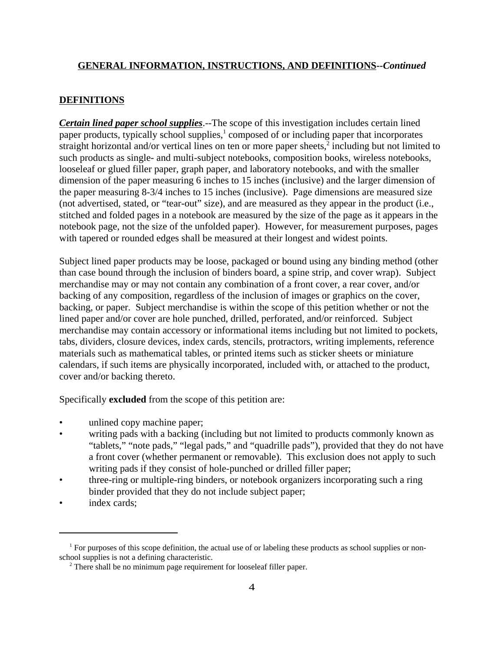### **DEFINITIONS**

*Certain lined paper school supplies*.--The scope of this investigation includes certain lined paper products, typically school supplies,<sup>1</sup> composed of or including paper that incorporates straight horizontal and/or vertical lines on ten or more paper sheets, $\frac{2}{3}$  including but not limited to such products as single- and multi-subject notebooks, composition books, wireless notebooks, looseleaf or glued filler paper, graph paper, and laboratory notebooks, and with the smaller dimension of the paper measuring 6 inches to 15 inches (inclusive) and the larger dimension of the paper measuring 8-3/4 inches to 15 inches (inclusive). Page dimensions are measured size (not advertised, stated, or "tear-out" size), and are measured as they appear in the product (i.e., stitched and folded pages in a notebook are measured by the size of the page as it appears in the notebook page, not the size of the unfolded paper). However, for measurement purposes, pages with tapered or rounded edges shall be measured at their longest and widest points.

Subject lined paper products may be loose, packaged or bound using any binding method (other than case bound through the inclusion of binders board, a spine strip, and cover wrap). Subject merchandise may or may not contain any combination of a front cover, a rear cover, and/or backing of any composition, regardless of the inclusion of images or graphics on the cover, backing, or paper. Subject merchandise is within the scope of this petition whether or not the lined paper and/or cover are hole punched, drilled, perforated, and/or reinforced. Subject merchandise may contain accessory or informational items including but not limited to pockets, tabs, dividers, closure devices, index cards, stencils, protractors, writing implements, reference materials such as mathematical tables, or printed items such as sticker sheets or miniature calendars, if such items are physically incorporated, included with, or attached to the product, cover and/or backing thereto.

Specifically **excluded** from the scope of this petition are:

- unlined copy machine paper;
- writing pads with a backing (including but not limited to products commonly known as "tablets," "note pads," "legal pads," and "quadrille pads"), provided that they do not have a front cover (whether permanent or removable). This exclusion does not apply to such writing pads if they consist of hole-punched or drilled filler paper;
- three-ring or multiple-ring binders, or notebook organizers incorporating such a ring binder provided that they do not include subject paper;
- index cards;

<sup>&</sup>lt;sup>1</sup> For purposes of this scope definition, the actual use of or labeling these products as school supplies or nonschool supplies is not a defining characteristic.

<sup>&</sup>lt;sup>2</sup> There shall be no minimum page requirement for looseleaf filler paper.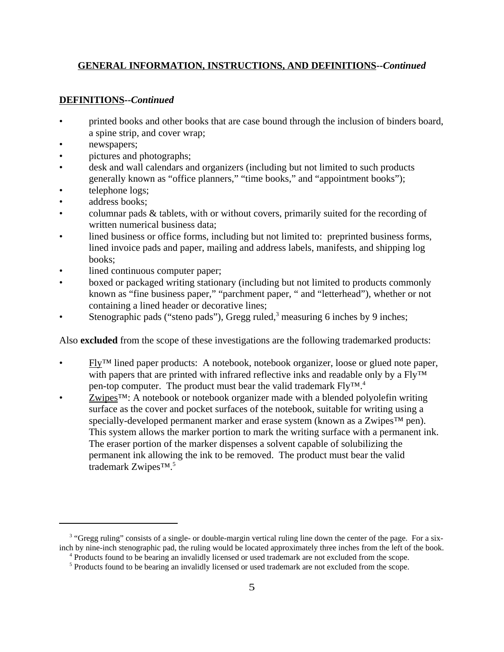## **DEFINITIONS--***Continued*

- printed books and other books that are case bound through the inclusion of binders board, a spine strip, and cover wrap;
- newspapers;
- pictures and photographs;
- desk and wall calendars and organizers (including but not limited to such products generally known as "office planners," "time books," and "appointment books");
- telephone logs;
- address books;
- columnar pads & tablets, with or without covers, primarily suited for the recording of written numerical business data;
- lined business or office forms, including but not limited to: preprinted business forms, lined invoice pads and paper, mailing and address labels, manifests, and shipping log books;
- lined continuous computer paper;
- boxed or packaged writing stationary (including but not limited to products commonly known as "fine business paper," "parchment paper, " and "letterhead"), whether or not containing a lined header or decorative lines;
- Stenographic pads ("steno pads"), Gregg ruled, $3$  measuring 6 inches by 9 inches;

Also **excluded** from the scope of these investigations are the following trademarked products:

- Fly™ lined paper products: A notebook, notebook organizer, loose or glued note paper, with papers that are printed with infrared reflective inks and readable only by a Fly™ pen-top computer. The product must bear the valid trademark Fly<sup>TM</sup>.<sup>4</sup>
- Zwipes<sup>™</sup>: A notebook or notebook organizer made with a blended polyolefin writing surface as the cover and pocket surfaces of the notebook, suitable for writing using a specially-developed permanent marker and erase system (known as a Zwipes<sup>™</sup> pen). This system allows the marker portion to mark the writing surface with a permanent ink. The eraser portion of the marker dispenses a solvent capable of solubilizing the permanent ink allowing the ink to be removed. The product must bear the valid trademark Zwipes™.5

<sup>&</sup>lt;sup>3</sup> "Gregg ruling" consists of a single- or double-margin vertical ruling line down the center of the page. For a sixinch by nine-inch stenographic pad, the ruling would be located approximately three inches from the left of the book.

 <sup>4</sup> Products found to be bearing an invalidly licensed or used trademark are not excluded from the scope.

<sup>&</sup>lt;sup>5</sup> Products found to be bearing an invalidly licensed or used trademark are not excluded from the scope.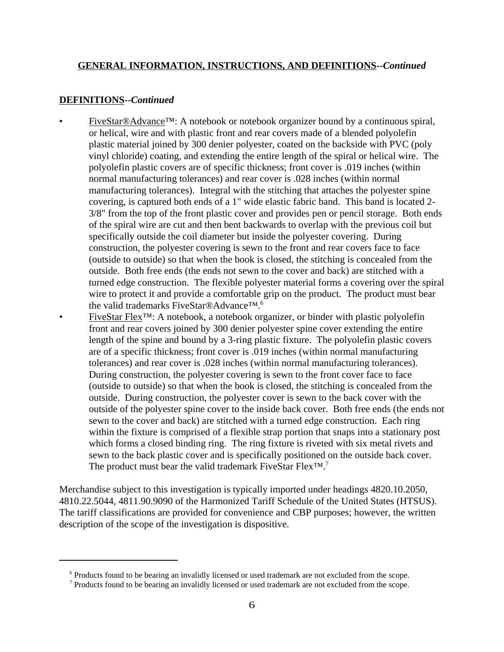#### **DEFINITIONS--***Continued*

- FiveStar®Advance™: A notebook or notebook organizer bound by a continuous spiral, or helical, wire and with plastic front and rear covers made of a blended polyolefin plastic material joined by 300 denier polyester, coated on the backside with PVC (poly vinyl chloride) coating, and extending the entire length of the spiral or helical wire. The polyolefin plastic covers are of specific thickness; front cover is .019 inches (within normal manufacturing tolerances) and rear cover is .028 inches (within normal manufacturing tolerances). Integral with the stitching that attaches the polyester spine covering, is captured both ends of a 1" wide elastic fabric band. This band is located 2- 3/8" from the top of the front plastic cover and provides pen or pencil storage. Both ends of the spiral wire are cut and then bent backwards to overlap with the previous coil but specifically outside the coil diameter but inside the polyester covering. During construction, the polyester covering is sewn to the front and rear covers face to face (outside to outside) so that when the book is closed, the stitching is concealed from the outside. Both free ends (the ends not sewn to the cover and back) are stitched with a turned edge construction. The flexible polyester material forms a covering over the spiral wire to protect it and provide a comfortable grip on the product. The product must bear the valid trademarks FiveStar®Advance™.6
- FiveStar Flex™: A notebook, a notebook organizer, or binder with plastic polyolefin front and rear covers joined by 300 denier polyester spine cover extending the entire length of the spine and bound by a 3-ring plastic fixture. The polyolefin plastic covers are of a specific thickness; front cover is .019 inches (within normal manufacturing tolerances) and rear cover is .028 inches (within normal manufacturing tolerances). During construction, the polyester covering is sewn to the front cover face to face (outside to outside) so that when the book is closed, the stitching is concealed from the outside. During construction, the polyester cover is sewn to the back cover with the outside of the polyester spine cover to the inside back cover. Both free ends (the ends not sewn to the cover and back) are stitched with a turned edge construction. Each ring within the fixture is comprised of a flexible strap portion that snaps into a stationary post which forms a closed binding ring. The ring fixture is riveted with six metal rivets and sewn to the back plastic cover and is specifically positioned on the outside back cover. The product must bear the valid trademark FiveStar Flex™.<sup>7</sup>

Merchandise subject to this investigation is typically imported under headings 4820.10.2050, 4810.22.5044, 4811.90.9090 of the Harmonized Tariff Schedule of the United States (HTSUS). The tariff classifications are provided for convenience and CBP purposes; however, the written description of the scope of the investigation is dispositive.

<sup>&</sup>lt;sup>6</sup> Products found to be bearing an invalidly licensed or used trademark are not excluded from the scope.

<sup>&</sup>lt;sup>7</sup> Products found to be bearing an invalidly licensed or used trademark are not excluded from the scope.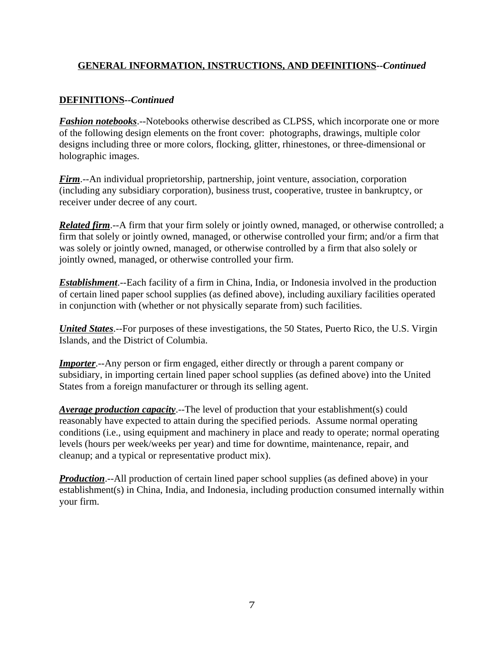# **DEFINITIONS--***Continued*

*Fashion notebooks*.--Notebooks otherwise described as CLPSS, which incorporate one or more of the following design elements on the front cover: photographs, drawings, multiple color designs including three or more colors, flocking, glitter, rhinestones, or three-dimensional or holographic images.

*Firm*.--An individual proprietorship, partnership, joint venture, association, corporation (including any subsidiary corporation), business trust, cooperative, trustee in bankruptcy, or receiver under decree of any court.

*Related firm*.--A firm that your firm solely or jointly owned, managed, or otherwise controlled; a firm that solely or jointly owned, managed, or otherwise controlled your firm; and/or a firm that was solely or jointly owned, managed, or otherwise controlled by a firm that also solely or jointly owned, managed, or otherwise controlled your firm.

*Establishment*.--Each facility of a firm in China, India, or Indonesia involved in the production of certain lined paper school supplies (as defined above), including auxiliary facilities operated in conjunction with (whether or not physically separate from) such facilities.

*United States*.--For purposes of these investigations, the 50 States, Puerto Rico, the U.S. Virgin Islands, and the District of Columbia.

*Importer.*--Any person or firm engaged, either directly or through a parent company or subsidiary, in importing certain lined paper school supplies (as defined above) into the United States from a foreign manufacturer or through its selling agent.

*Average production capacity*.--The level of production that your establishment(s) could reasonably have expected to attain during the specified periods. Assume normal operating conditions (i.e., using equipment and machinery in place and ready to operate; normal operating levels (hours per week/weeks per year) and time for downtime, maintenance, repair, and cleanup; and a typical or representative product mix).

*Production*.--All production of certain lined paper school supplies (as defined above) in your establishment(s) in China, India, and Indonesia, including production consumed internally within your firm.